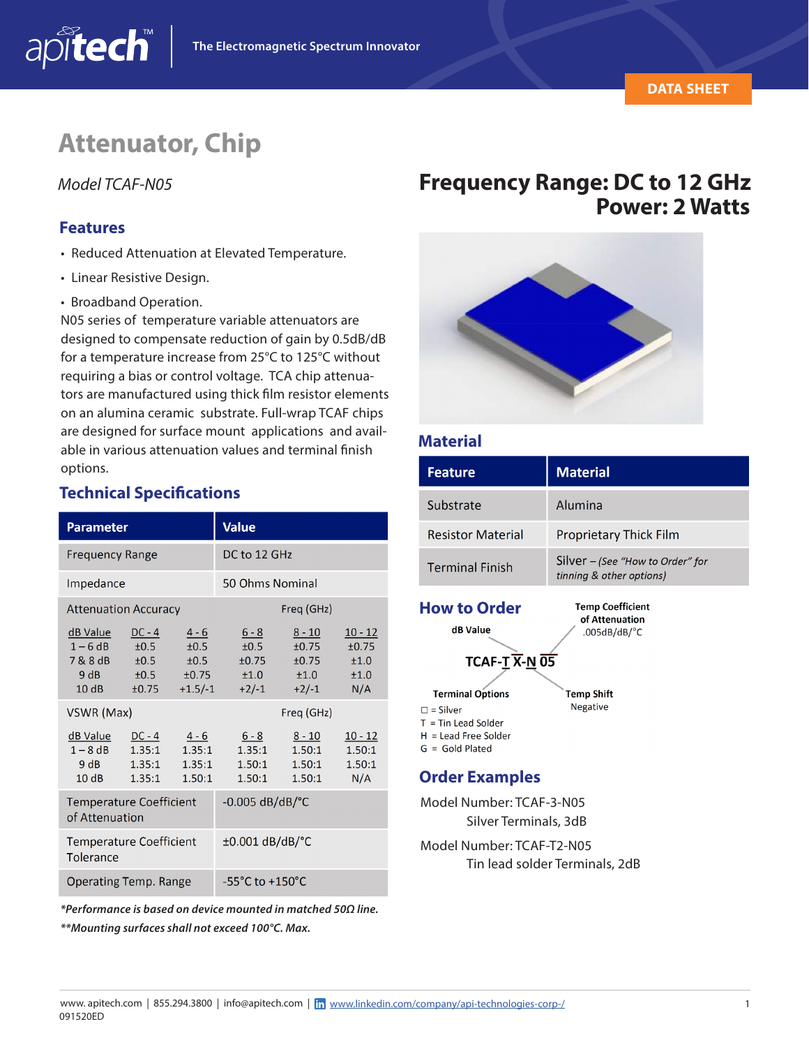## **Attenuator, Chip**

#### **Features**

apitech

- Reduced Attenuation at Elevated Temperature.
- Linear Resistive Design.
- Broadband Operation.

N05 series of temperature variable attenuators are designed to compensate reduction of gain by 0.5dB/dB for a temperature increase from 25°C to 125°C without requiring a bias or control voltage. TCA chip attenuators are manufactured using thick film resistor elements on an alumina ceramic substrate. Full-wrap TCAF chips are designed for surface mount applications and available in various attenuation values and terminal finish options.

#### **Technical Specifications**

| <b>Parameter</b>                                       |                                                |                                               | <b>Value</b>                                |                                               |                                           |
|--------------------------------------------------------|------------------------------------------------|-----------------------------------------------|---------------------------------------------|-----------------------------------------------|-------------------------------------------|
| <b>Frequency Range</b>                                 |                                                |                                               | DC to 12 GHz                                |                                               |                                           |
| Impedance                                              |                                                |                                               | 50 Ohms Nominal                             |                                               |                                           |
| <b>Attenuation Accuracy</b>                            |                                                |                                               | Freq (GHz)                                  |                                               |                                           |
| <u>dB Value</u><br>$1-6dB$<br>7 & 8 dB<br>9 dB<br>10dB | $DC - 4$<br>±0.5<br>±0.5<br>$\pm 0.5$<br>±0.75 | $4 - 6$<br>±0.5<br>±0.5<br>±0.75<br>$+1.5/-1$ | $6 - 8$<br>±0.5<br>±0.75<br>±1.0<br>$+2/-1$ | $8 - 10$<br>±0.75<br>±0.75<br>±1.0<br>$+2/-1$ | $10 - 12$<br>±0.75<br>±1.0<br>±1.0<br>N/A |
| VSWR (Max)                                             |                                                |                                               | Freq (GHz)                                  |                                               |                                           |
| dB Value<br>$1 - 8$ dB<br>9 dB<br>10dB                 | $DC - 4$<br>1.35:1<br>1.35:1<br>1.35:1         | $4 - 6$<br>1.35:1<br>1.35:1<br>1.50:1         | 6 - 8<br>1.35:1<br>1.50:1<br>1.50:1         | $8 - 10$<br>1.50:1<br>1.50:1<br>1.50:1        | $10 - 12$<br>1.50:1<br>1.50:1<br>N/A      |
| <b>Temperature Coefficient</b><br>of Attenuation       |                                                |                                               | $-0.005$ dB/dB/ $^{\circ}$ C                |                                               |                                           |
| <b>Temperature Coefficient</b><br>Tolerance            |                                                |                                               | $\pm 0.001$ dB/dB/ $\degree$ C              |                                               |                                           |
| Operating Temp. Range                                  |                                                |                                               | $-55^{\circ}$ C to $+150^{\circ}$ C         |                                               |                                           |

*\*Performance is based on device mounted in matched 50Ω line. \*\*Mounting surfaces shall not exceed 100°C. Max.*

# Model TCAF-N05 *Frequency Range: DC to 12 GHz*<br>**Power: 2 Watts**



#### **Material**

| <b>Feature</b>           | <b>Material</b>                                              |  |  |  |
|--------------------------|--------------------------------------------------------------|--|--|--|
| Substrate                | Alumina                                                      |  |  |  |
| <b>Resistor Material</b> | Proprietary Thick Film                                       |  |  |  |
| <b>Terminal Finish</b>   | Silver – (See "How to Order" for<br>tinning & other options) |  |  |  |
| <b>How to Order</b>      | <b>Temp Coefficient</b><br>of Attenuation                    |  |  |  |

**Temp Shift** Negative

 $.005dB/dB$ /°C

dB Value **TCAF-T X-N 05** 

**Terminal Options**  $\square$  = Silver  $T =$ Tin Lead Solder  $H =$  Lead Free Solder

G = Gold Plated

#### **Order Examples**

Model Number: TCAF-3-N05 Silver Terminals, 3dB

Model Number: TCAF-T2-N05 Tin lead solder Terminals, 2dB